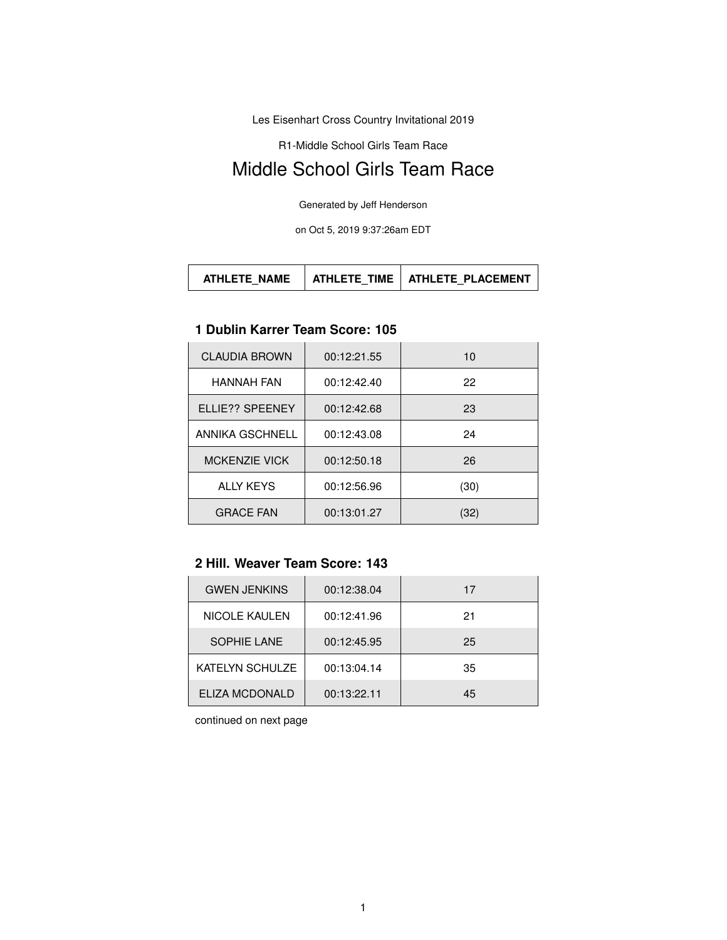Les Eisenhart Cross Country Invitational 2019

R1-Middle School Girls Team Race

# Middle School Girls Team Race

Generated by Jeff Henderson

on Oct 5, 2019 9:37:26am EDT

| <b>ATHLETE NAME</b> |  | ATHLETE TIME   ATHLETE PLACEMENT |
|---------------------|--|----------------------------------|
|---------------------|--|----------------------------------|

## **1 Dublin Karrer Team Score: 105**

| <b>CLAUDIA BROWN</b> | 00:12:21.55 | 10   |
|----------------------|-------------|------|
| <b>HANNAH FAN</b>    | 00:12:42.40 | 22   |
| ELLIE?? SPEENEY      | 00:12:42.68 | 23   |
| ANNIKA GSCHNELL      | 00:12:43.08 | 24   |
| <b>MCKENZIE VICK</b> | 00:12:50.18 | 26   |
| <b>ALLY KEYS</b>     | 00:12:56.96 | (30) |
| <b>GRACE FAN</b>     | 00:13:01.27 | 32)  |

#### **2 Hill. Weaver Team Score: 143**

| <b>GWEN JENKINS</b>    | 00:12:38.04 | 17 |
|------------------------|-------------|----|
| <b>NICOLE KAULEN</b>   | 00:12:41.96 | 21 |
| <b>SOPHIE LANE</b>     | 00:12:45.95 | 25 |
| <b>KATELYN SCHULZE</b> | 00:13:04.14 | 35 |
| ELIZA MCDONALD         | 00:13:22.11 | 45 |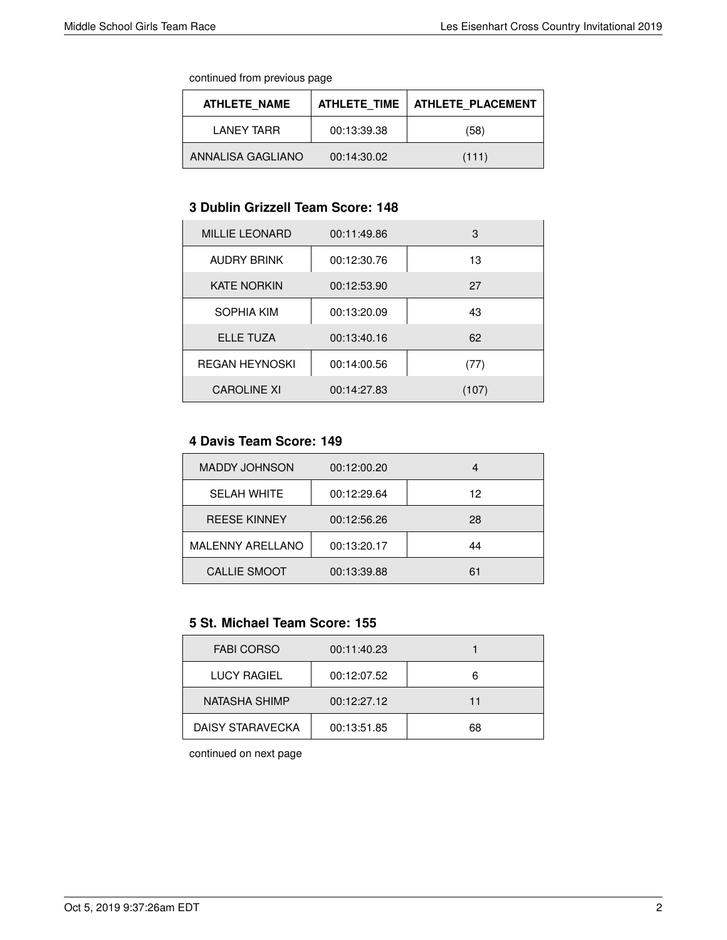continued from previous page

| <b>ATHLETE NAME</b> | <b>ATHLETE TIME</b> | <b>ATHLETE PLACEMENT</b> |
|---------------------|---------------------|--------------------------|
| I ANFY TARR         | 00:13:39.38         | (58)                     |
| ANNALISA GAGLIANO   | 00:14:30.02         | (111)                    |

#### **3 Dublin Grizzell Team Score: 148**

| <b>MILLIE LEONARD</b> | 00:11:49.86 | 3     |
|-----------------------|-------------|-------|
| <b>AUDRY BRINK</b>    | 00:12:30.76 | 13    |
| <b>KATE NORKIN</b>    | 00:12:53.90 | 27    |
| SOPHIA KIM            | 00:13:20.09 | 43    |
| ELLE TUZA             | 00:13:40.16 | 62    |
| <b>REGAN HEYNOSKI</b> | 00:14:00.56 | (77)  |
| <b>CAROLINE XI</b>    | 00:14:27.83 | (107) |

#### **4 Davis Team Score: 149**

| <b>MADDY JOHNSON</b>    | 00:12:00.20 |    |
|-------------------------|-------------|----|
| <b>SELAH WHITE</b>      | 00:12:29.64 | 12 |
| <b>REESE KINNEY</b>     | 00:12:56.26 | 28 |
| <b>MALENNY ARELLANO</b> | 00:13:20.17 | 44 |
| <b>CALLIE SMOOT</b>     | 00:13:39.88 | 61 |

## **5 St. Michael Team Score: 155**

| <b>FABI CORSO</b>  | 00:11:40.23 |    |
|--------------------|-------------|----|
| <b>LUCY RAGIEL</b> | 00:12:07.52 | 6  |
| NATASHA SHIMP      | 00:12:27.12 | 11 |
| DAISY STARAVECKA   | 00:13:51.85 | 68 |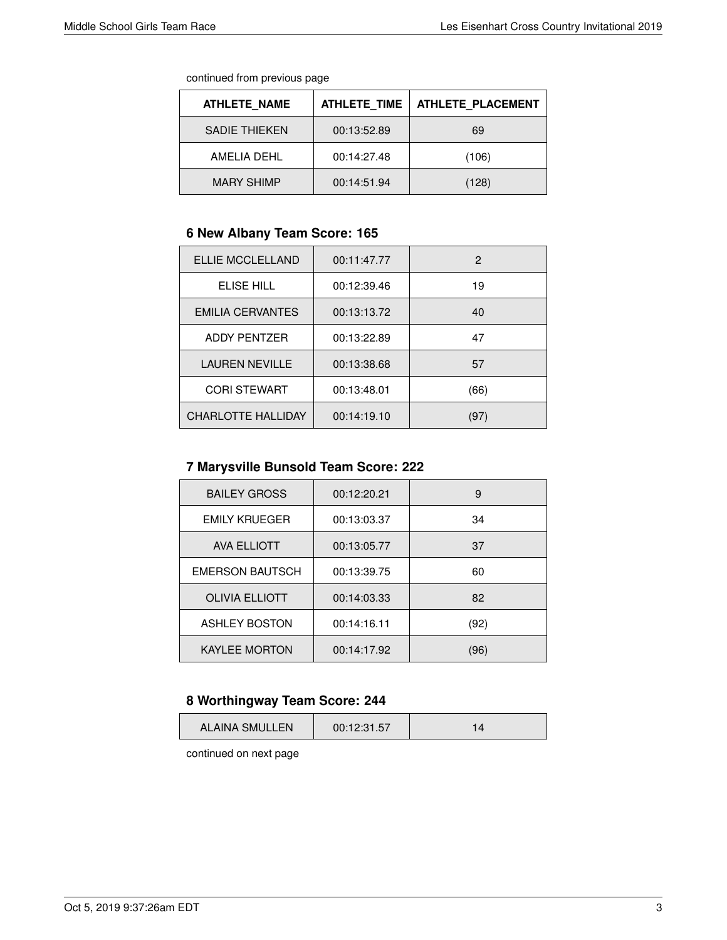continued from previous page

| <b>ATHLETE NAME</b>  | <b>ATHLETE TIME</b> | <b>ATHLETE PLACEMENT</b> |
|----------------------|---------------------|--------------------------|
| <b>SADIE THIEKEN</b> | 00:13:52.89         | 69                       |
| AMFI IA DFHI         | 00:14:27.48         | (106)                    |
| <b>MARY SHIMP</b>    | 00:14:51.94         | (128)                    |

## **6 New Albany Team Score: 165**

| ELLIE MCCLELLAND          | 00:11:47.77 | 2    |
|---------------------------|-------------|------|
| ELISE HILL                | 00:12:39.46 | 19   |
| <b>EMILIA CERVANTES</b>   | 00:13:13.72 | 40   |
| <b>ADDY PENTZER</b>       | 00:13:22.89 | 47   |
| <b>LAUREN NEVILLE</b>     | 00:13:38.68 | 57   |
| <b>CORI STEWART</b>       | 00:13:48.01 | (66) |
| <b>CHARLOTTE HALLIDAY</b> | 00:14:19.10 | (97) |

# **7 Marysville Bunsold Team Score: 222**

| <b>BAILEY GROSS</b>    | 00:12:20.21 | 9    |
|------------------------|-------------|------|
| <b>EMILY KRUEGER</b>   | 00:13:03.37 | 34   |
| <b>AVA ELLIOTT</b>     | 00:13:05.77 | 37   |
| <b>EMERSON BAUTSCH</b> | 00:13:39.75 | 60   |
| <b>OLIVIA ELLIOTT</b>  | 00:14:03.33 | 82   |
| <b>ASHLEY BOSTON</b>   | 00:14:16.11 | (92) |
| <b>KAYLEE MORTON</b>   | 00:14:17.92 | (96) |

## **8 Worthingway Team Score: 244**

| 00:12:31.57<br>ALAINA SMULLEN |
|-------------------------------|
|-------------------------------|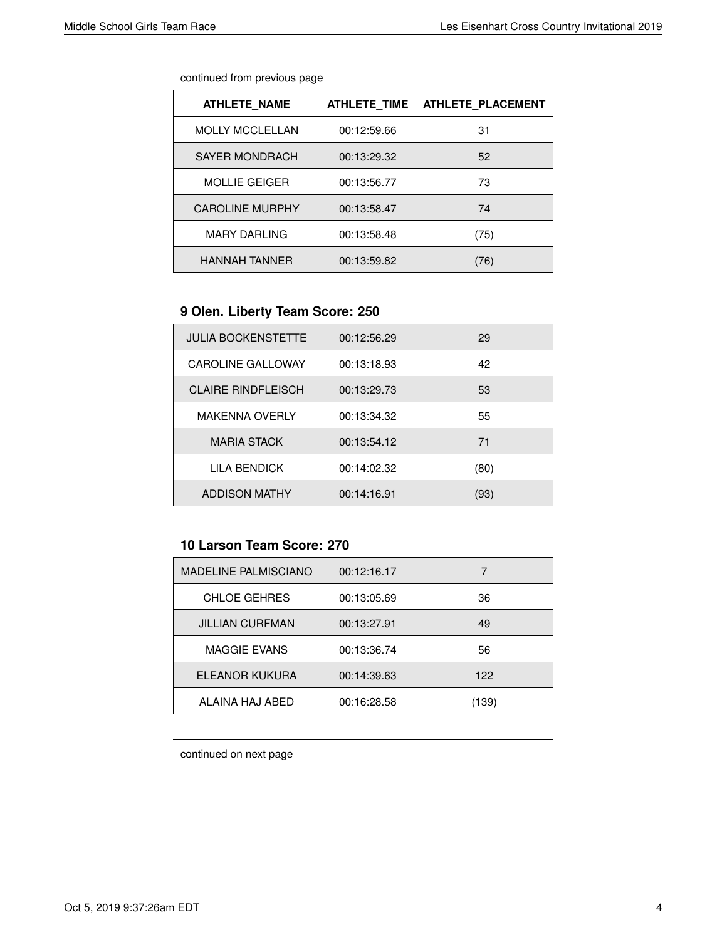| continued from previous page |  |  |
|------------------------------|--|--|
|                              |  |  |

| <b>ATHLETE NAME</b>    | <b>ATHLETE TIME</b> | <b>ATHLETE PLACEMENT</b> |
|------------------------|---------------------|--------------------------|
| <b>MOLLY MCCLELLAN</b> | 00:12:59.66         | 31                       |
| <b>SAYER MONDRACH</b>  | 00:13:29.32         | 52                       |
| <b>MOLLIE GEIGER</b>   | 00:13:56.77         | 73                       |
| <b>CAROLINE MURPHY</b> | 00:13:58.47         | 74                       |
| <b>MARY DARLING</b>    | 00:13:58.48         | (75)                     |
| <b>HANNAH TANNER</b>   | 00:13:59.82         | 76)                      |

## **9 Olen. Liberty Team Score: 250**

| <b>JULIA BOCKENSTETTE</b> | 00:12:56.29 | 29   |
|---------------------------|-------------|------|
| <b>CAROLINE GALLOWAY</b>  | 00:13:18.93 | 42   |
| <b>CLAIRE RINDFLEISCH</b> | 00:13:29.73 | 53   |
| <b>MAKENNA OVERLY</b>     | 00:13:34.32 | 55   |
| <b>MARIA STACK</b>        | 00:13:54.12 | 71   |
| LILA BENDICK              | 00:14:02.32 | (80) |
| <b>ADDISON MATHY</b>      | 00:14:16.91 | (93) |

## **10 Larson Team Score: 270**

| <b>MADELINE PALMISCIANO</b> | 00:12:16.17 |       |
|-----------------------------|-------------|-------|
| <b>CHLOE GEHRES</b>         | 00:13:05.69 | 36    |
| <b>JILLIAN CURFMAN</b>      | 00:13:27.91 | 49    |
| <b>MAGGIE EVANS</b>         | 00:13:36.74 | 56    |
| ELEANOR KUKURA              | 00:14:39.63 | 122   |
| ALAINA HAJ ABED             | 00:16:28.58 | (139) |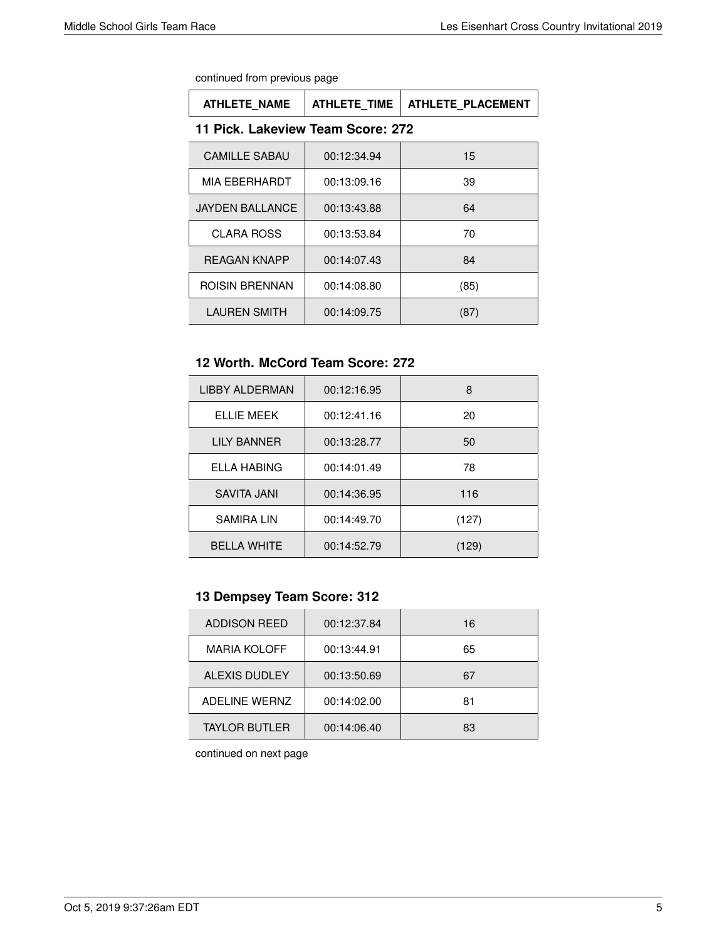| continued from previous page |  |  |  |  |
|------------------------------|--|--|--|--|
|------------------------------|--|--|--|--|

| <b>ATHLETE NAME</b>               | <b>ATHLETE TIME</b> | <b>ATHLETE PLACEMENT</b> |  |
|-----------------------------------|---------------------|--------------------------|--|
| 11 Pick. Lakeview Team Score: 272 |                     |                          |  |
| <b>CAMILLE SABAU</b>              | 00:12:34.94         | 15                       |  |
| MIA EBERHARDT                     | 00:13:09.16         | 39                       |  |
| <b>JAYDEN BALLANCE</b>            | 00:13:43.88         | 64                       |  |
| <b>CLARA ROSS</b>                 | 00:13:53.84         | 70                       |  |
| <b>REAGAN KNAPP</b>               | 00:14:07.43         | 84                       |  |
| <b>ROISIN BRENNAN</b>             | 00:14:08.80         | (85)                     |  |
| <b>LAUREN SMITH</b>               | 00:14:09.75         | (87)                     |  |

#### **12 Worth. McCord Team Score: 272**

| LIBBY ALDERMAN     | 00:12:16.95 | 8     |
|--------------------|-------------|-------|
| ELLIE MEEK         | 00:12:41.16 | 20    |
| <b>LILY BANNER</b> | 00:13:28.77 | 50    |
| <b>ELLA HABING</b> | 00:14:01.49 | 78    |
| SAVITA JANI        | 00:14:36.95 | 116   |
| <b>SAMIRA LIN</b>  | 00:14:49.70 | (127) |
| <b>BELLA WHITE</b> | 00:14:52.79 | (129) |

## **13 Dempsey Team Score: 312**

| <b>ADDISON REED</b>  | 00:12:37.84 | 16 |
|----------------------|-------------|----|
| <b>MARIA KOLOFF</b>  | 00:13:44.91 | 65 |
| <b>ALEXIS DUDLEY</b> | 00:13:50.69 | 67 |
| <b>ADELINE WERNZ</b> | 00:14:02.00 | 81 |
| <b>TAYLOR BUTLER</b> | 00:14:06.40 | 83 |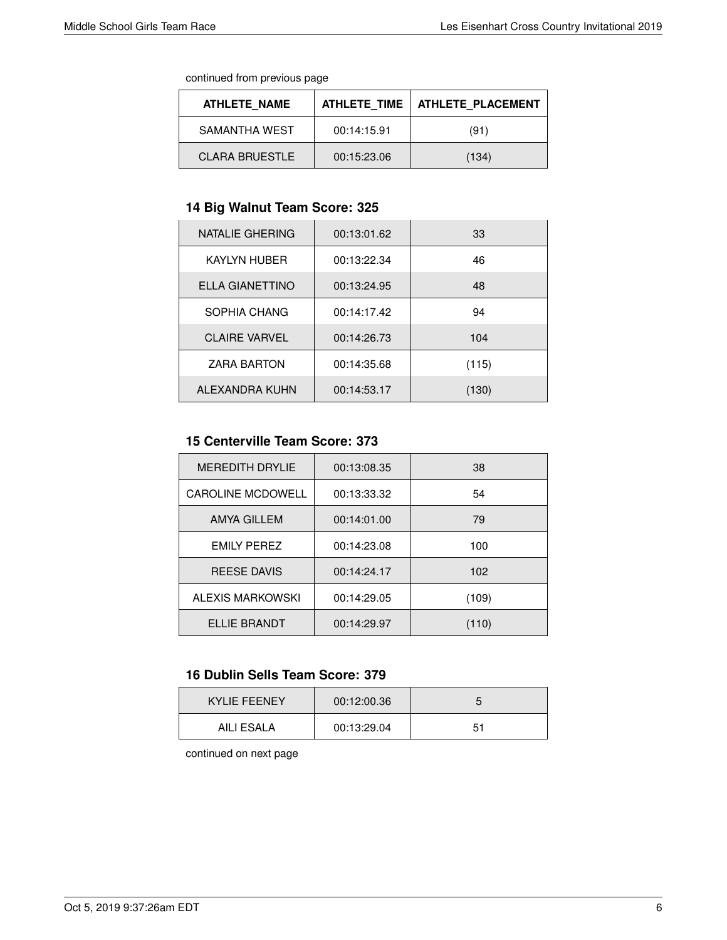continued from previous page

| ATHLETE NAME          | ATHLETE TIME | ATHLETE PLACEMENT |
|-----------------------|--------------|-------------------|
| SAMANTHA WEST         | 00:14:15.91  | (91)              |
| <b>CLARA BRUESTLE</b> | 00:15:23.06  | (134)             |

## **14 Big Walnut Team Score: 325**

| NATALIE GHERING      | 00:13:01.62 | 33    |
|----------------------|-------------|-------|
| <b>KAYLYN HUBER</b>  | 00:13:22.34 | 46    |
| ELLA GIANETTINO      | 00:13:24.95 | 48    |
| SOPHIA CHANG         | 00:14:17.42 | 94    |
| <b>CLAIRE VARVEL</b> | 00:14:26.73 | 104   |
| <b>ZARA BARTON</b>   | 00:14:35.68 | (115) |
| ALEXANDRA KUHN       | 00:14:53.17 | (130) |

#### **15 Centerville Team Score: 373**

| <b>MEREDITH DRYLIE</b>   | 00:13:08.35 | 38    |
|--------------------------|-------------|-------|
| <b>CAROLINE MCDOWELL</b> | 00:13:33.32 | 54    |
| <b>AMYA GILLEM</b>       | 00:14:01.00 | 79    |
| <b>EMILY PEREZ</b>       | 00:14:23.08 | 100   |
| <b>REESE DAVIS</b>       | 00:14:24.17 | 102   |
| ALEXIS MARKOWSKI         | 00:14:29.05 | (109) |
| ELLIE BRANDT             | 00:14:29.97 | (110) |

#### **16 Dublin Sells Team Score: 379**

| <b>KYLIE FEENEY</b> | 00:12:00.36 |     |
|---------------------|-------------|-----|
| AILI ESALA          | 00:13:29.04 | -51 |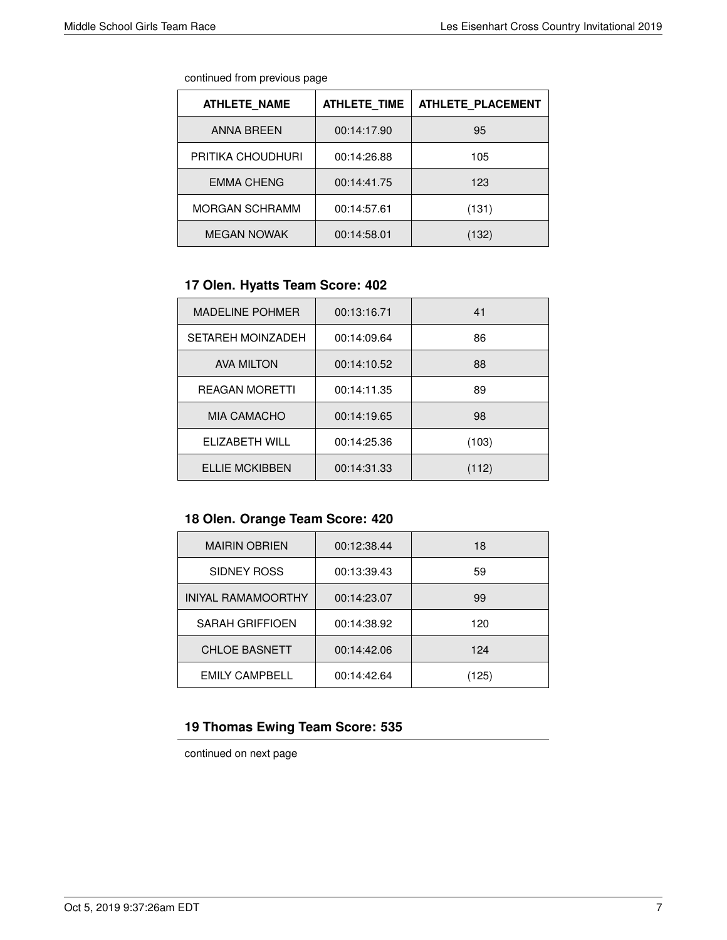| continued from previous page |  |  |
|------------------------------|--|--|
|                              |  |  |

| <b>ATHLETE NAME</b>   | <b>ATHLETE TIME</b> | <b>ATHLETE PLACEMENT</b> |
|-----------------------|---------------------|--------------------------|
| <b>ANNA BREEN</b>     | 00:14:17.90         | 95                       |
| PRITIKA CHOUDHURI     | 00:14:26.88         | 105                      |
| <b>EMMA CHENG</b>     | 00:14:41.75         | 123                      |
| <b>MORGAN SCHRAMM</b> | 00:14:57.61         | (131)                    |
| <b>MEGAN NOWAK</b>    | 00:14:58.01         | (132)                    |

## **17 Olen. Hyatts Team Score: 402**

| <b>MADELINE POHMER</b>   | 00:13:16.71 | 41    |
|--------------------------|-------------|-------|
| <b>SETAREH MOINZADEH</b> | 00:14:09.64 | 86    |
| <b>AVA MILTON</b>        | 00:14:10.52 | 88    |
| <b>REAGAN MORETTI</b>    | 00:14:11.35 | 89    |
| <b>MIA CAMACHO</b>       | 00:14:19.65 | 98    |
| ELIZABETH WILL           | 00:14:25.36 | (103) |
| <b>ELLIE MCKIBBEN</b>    | 00:14:31.33 | (112) |

# **18 Olen. Orange Team Score: 420**

| <b>MAIRIN OBRIEN</b>      | 00:12:38.44 | 18    |
|---------------------------|-------------|-------|
| SIDNEY ROSS               | 00:13:39.43 | 59    |
| <b>INIYAL RAMAMOORTHY</b> | 00:14:23.07 | 99    |
| <b>SARAH GRIFFIOEN</b>    | 00:14:38.92 | 120   |
| <b>CHLOE BASNETT</b>      | 00:14:42.06 | 124   |
| <b>EMILY CAMPBELL</b>     | 00:14:42.64 | (125) |

## **19 Thomas Ewing Team Score: 535**